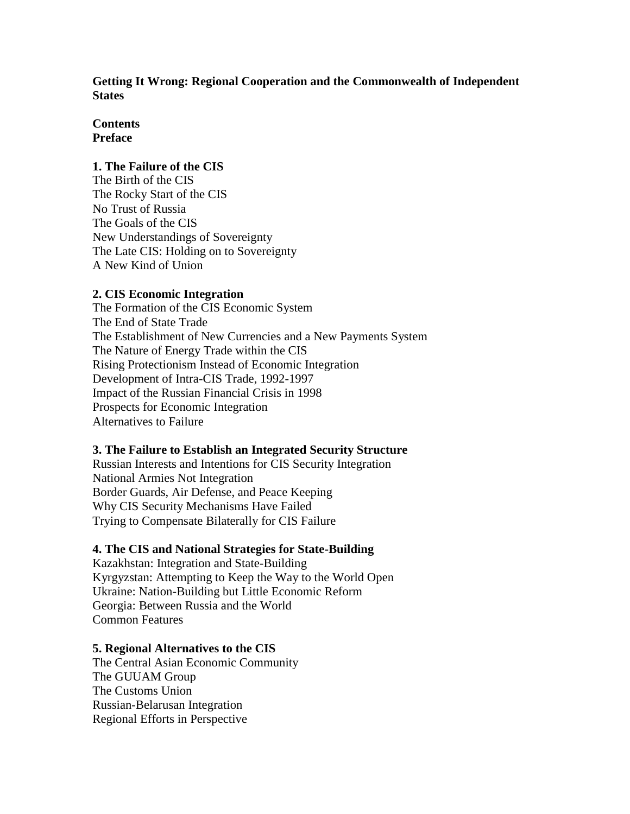**Getting It Wrong: Regional Cooperation and the Commonwealth of Independent States** 

## **Contents Preface**

### **1. The Failure of the CIS**

The Birth of the CIS The Rocky Start of the CIS No Trust of Russia The Goals of the CIS New Understandings of Sovereignty The Late CIS: Holding on to Sovereignty A New Kind of Union

### **2. CIS Economic Integration**

The Formation of the CIS Economic System The End of State Trade The Establishment of New Currencies and a New Payments System The Nature of Energy Trade within the CIS Rising Protectionism Instead of Economic Integration Development of Intra-CIS Trade, 1992-1997 Impact of the Russian Financial Crisis in 1998 Prospects for Economic Integration Alternatives to Failure

#### **3. The Failure to Establish an Integrated Security Structure**

Russian Interests and Intentions for CIS Security Integration National Armies Not Integration Border Guards, Air Defense, and Peace Keeping Why CIS Security Mechanisms Have Failed Trying to Compensate Bilaterally for CIS Failure

## **4. The CIS and National Strategies for State-Building**

Kazakhstan: Integration and State-Building Kyrgyzstan: Attempting to Keep the Way to the World Open Ukraine: Nation-Building but Little Economic Reform Georgia: Between Russia and the World Common Features

#### **5. Regional Alternatives to the CIS**

The Central Asian Economic Community The GUUAM Group The Customs Union Russian-Belarusan Integration Regional Efforts in Perspective